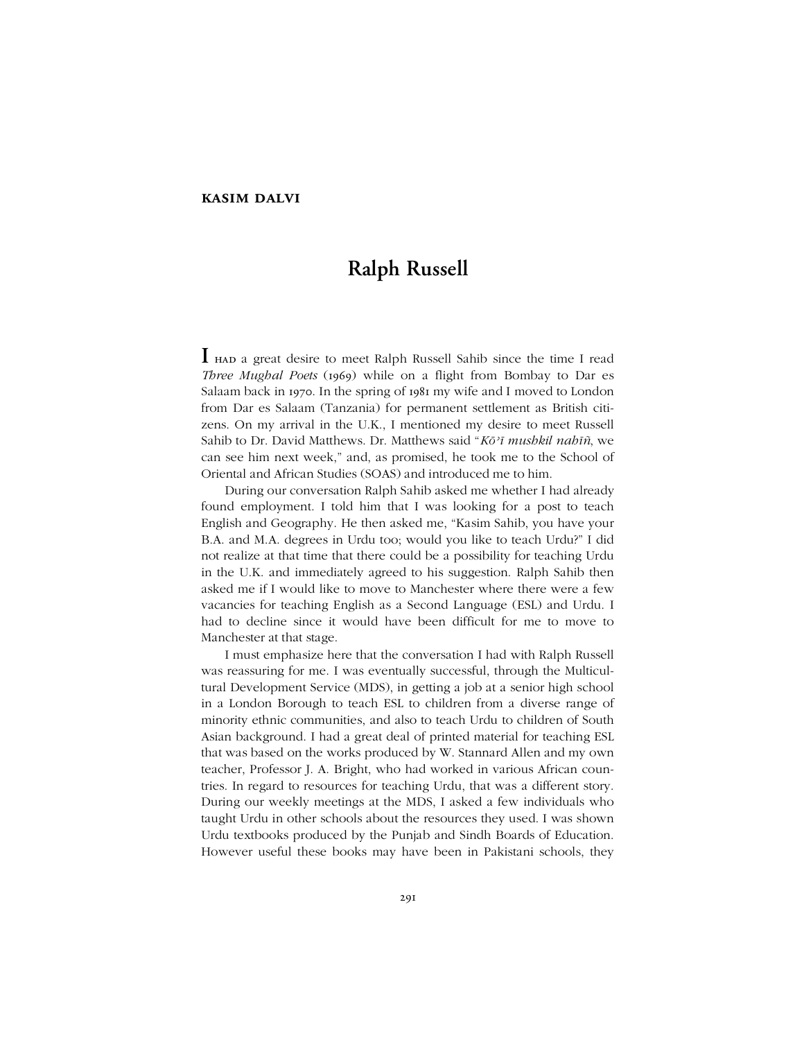## **kasim dalvi**

# **Ralph Russell**

**I** had <sup>a</sup> great desire to meet Ralph Russell Sahib since the time <sup>I</sup> read *Three Mughal Poets* (1969) while on a flight from Bombay to Dar es Salaam back in 1970. In the spring of 1981 my wife and I moved to London from Dar es Salaam (Tanzania) for permanent settlement as British citizens. On my arrival in the U.K., I mentioned my desire to meet Russell Sahib to Dr. David Matthews. Dr. Matthews said "Kō'ī mushkil nahīñ, we can see him next week," and, as promised, he took me to the School of Oriental and African Studies (SOAS) and introduced me to him.

During our conversation Ralph Sahib asked me whether I had already found employment. I told him that I was looking for a post to teach English and Geography. He then asked me, "Kasim Sahib, you have your B.A. and M.A. degrees in Urdu too; would you like to teach Urdu?" I did not realize at that time that there could be a possibility for teaching Urdu in the U.K. and immediately agreed to his suggestion. Ralph Sahib then asked me if I would like to move to Manchester where there were a few vacancies for teaching English as a Second Language (ESL) and Urdu. I had to decline since it would have been difficult for me to move to Manchester at that stage.

I must emphasize here that the conversation I had with Ralph Russell was reassuring for me. I was eventually successful, through the Multicultural Development Service (MDS), in getting a job at a senior high school in a London Borough to teach ESL to children from a diverse range of minority ethnic communities, and also to teach Urdu to children of South Asian background. I had a great deal of printed material for teaching ESL that was based on the works produced by W. Stannard Allen and my own teacher, Professor J. A. Bright, who had worked in various African countries. In regard to resources for teaching Urdu, that was a different story. During our weekly meetings at the MDS, I asked a few individuals who taught Urdu in other schools about the resources they used. I was shown Urdu textbooks produced by the Punjab and Sindh Boards of Education. However useful these books may have been in Pakistani schools, they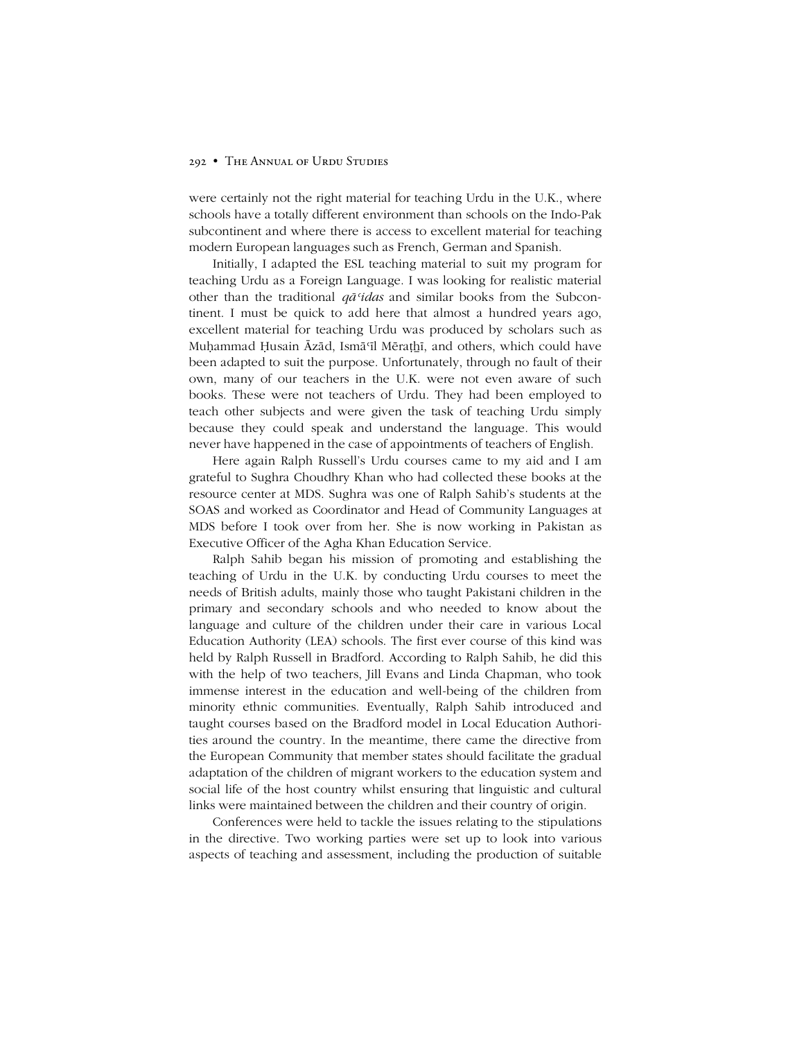#### 292 • THE ANNUAL OF URDU STUDIES

were certainly not the right material for teaching Urdu in the U.K., where schools have a totally different environment than schools on the Indo-Pak subcontinent and where there is access to excellent material for teaching modern European languages such as French, German and Spanish.

Initially, I adapted the ESL teaching material to suit my program for teaching Urdu as a Foreign Language. I was looking for realistic material other than the traditional *qāʿidas* and similar books from the Subcontinent. I must be quick to add here that almost a hundred years ago, excellent material for teaching Urdu was produced by scholars such as Muḥammad Ḥusain Āzād, Ismāʿīl Mēraṭhī, and others, which could have been adapted to suit the purpose. Unfortunately, through no fault of their own, many of our teachers in the U.K. were not even aware of such books. These were not teachers of Urdu. They had been employed to teach other subjects and were given the task of teaching Urdu simply because they could speak and understand the language. This would never have happened in the case of appointments of teachers of English.

Here again Ralph Russell's Urdu courses came to my aid and I am grateful to Sughra Choudhry Khan who had collected these books at the resource center at MDS. Sughra was one of Ralph Sahib's students at the SOAS and worked as Coordinator and Head of Community Languages at MDS before I took over from her. She is now working in Pakistan as Executive Officer of the Agha Khan Education Service.

Ralph Sahib began his mission of promoting and establishing the teaching of Urdu in the U.K. by conducting Urdu courses to meet the needs of British adults, mainly those who taught Pakistani children in the primary and secondary schools and who needed to know about the language and culture of the children under their care in various Local Education Authority (LEA) schools. The first ever course of this kind was held by Ralph Russell in Bradford. According to Ralph Sahib, he did this with the help of two teachers, Jill Evans and Linda Chapman, who took immense interest in the education and well-being of the children from minority ethnic communities. Eventually, Ralph Sahib introduced and taught courses based on the Bradford model in Local Education Authorities around the country. In the meantime, there came the directive from the European Community that member states should facilitate the gradual adaptation of the children of migrant workers to the education system and social life of the host country whilst ensuring that linguistic and cultural links were maintained between the children and their country of origin.

Conferences were held to tackle the issues relating to the stipulations in the directive. Two working parties were set up to look into various aspects of teaching and assessment, including the production of suitable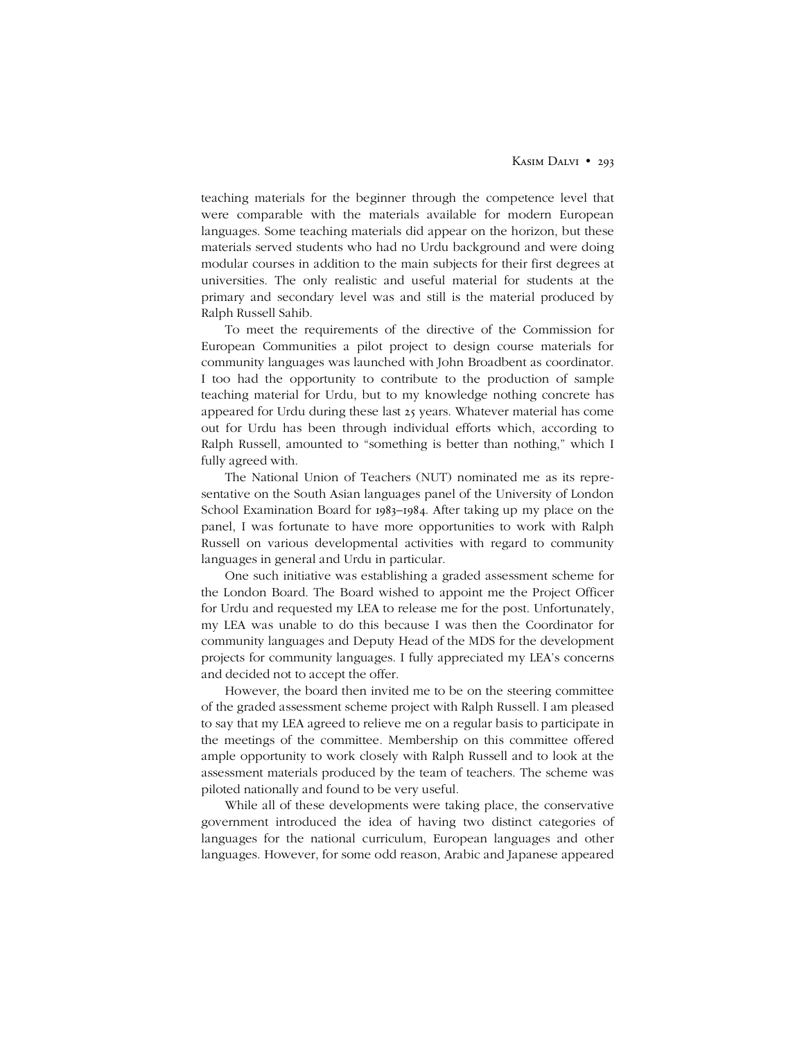teaching materials for the beginner through the competence level that were comparable with the materials available for modern European languages. Some teaching materials did appear on the horizon, but these materials served students who had no Urdu background and were doing modular courses in addition to the main subjects for their first degrees at universities. The only realistic and useful material for students at the primary and secondary level was and still is the material produced by Ralph Russell Sahib.

To meet the requirements of the directive of the Commission for European Communities a pilot project to design course materials for community languages was launched with John Broadbent as coordinator. I too had the opportunity to contribute to the production of sample teaching material for Urdu, but to my knowledge nothing concrete has appeared for Urdu during these last 25 years. Whatever material has come out for Urdu has been through individual efforts which, according to Ralph Russell, amounted to "something is better than nothing," which I fully agreed with.

The National Union of Teachers (NUT) nominated me as its representative on the South Asian languages panel of the University of London School Examination Board for 1983–1984. After taking up my place on the panel, I was fortunate to have more opportunities to work with Ralph Russell on various developmental activities with regard to community languages in general and Urdu in particular.

One such initiative was establishing a graded assessment scheme for the London Board. The Board wished to appoint me the Project Officer for Urdu and requested my LEA to release me for the post. Unfortunately, my LEA was unable to do this because I was then the Coordinator for community languages and Deputy Head of the MDS for the development projects for community languages. I fully appreciated my LEA's concerns and decided not to accept the offer.

However, the board then invited me to be on the steering committee of the graded assessment scheme project with Ralph Russell. I am pleased to say that my LEA agreed to relieve me on a regular basis to participate in the meetings of the committee. Membership on this committee offered ample opportunity to work closely with Ralph Russell and to look at the assessment materials produced by the team of teachers. The scheme was piloted nationally and found to be very useful.

While all of these developments were taking place, the conservative government introduced the idea of having two distinct categories of languages for the national curriculum, European languages and other languages. However, for some odd reason, Arabic and Japanese appeared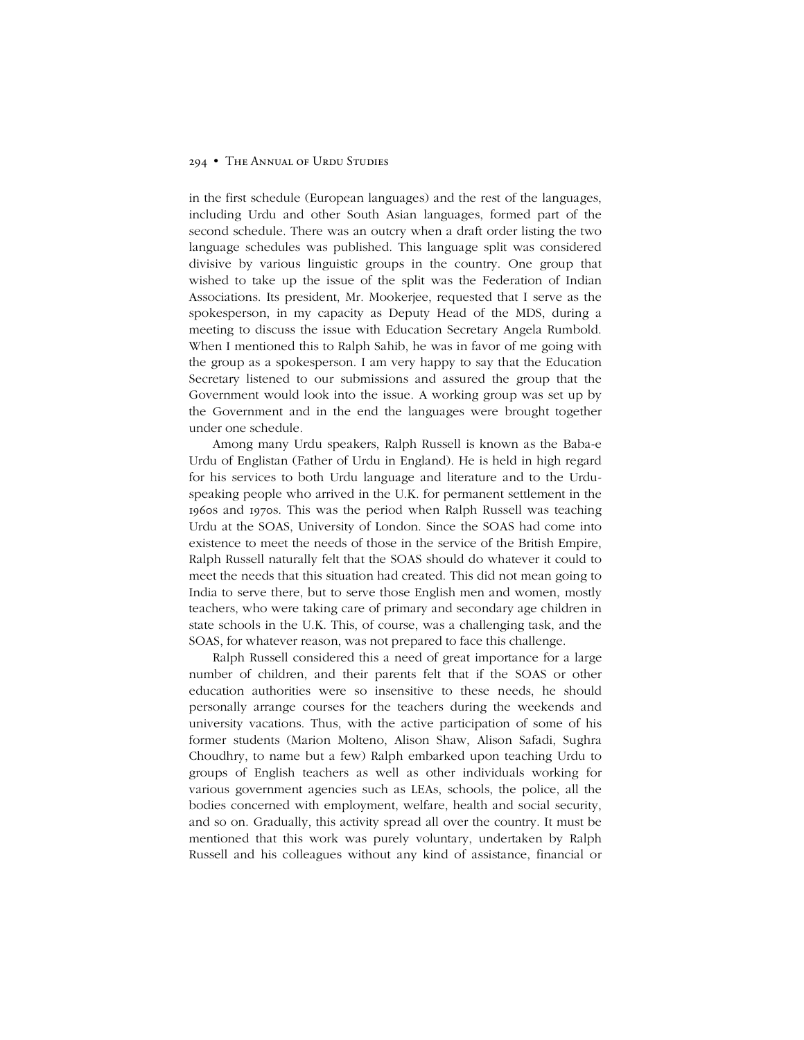#### 294 • The Annual of Urdu Studies

in the first schedule (European languages) and the rest of the languages, including Urdu and other South Asian languages, formed part of the second schedule. There was an outcry when a draft order listing the two language schedules was published. This language split was considered divisive by various linguistic groups in the country. One group that wished to take up the issue of the split was the Federation of Indian Associations. Its president, Mr. Mookerjee, requested that I serve as the spokesperson, in my capacity as Deputy Head of the MDS, during a meeting to discuss the issue with Education Secretary Angela Rumbold. When I mentioned this to Ralph Sahib, he was in favor of me going with the group as a spokesperson. I am very happy to say that the Education Secretary listened to our submissions and assured the group that the Government would look into the issue. A working group was set up by the Government and in the end the languages were brought together under one schedule.

Among many Urdu speakers, Ralph Russell is known as the Baba-e Urdu of Englistan (Father of Urdu in England). He is held in high regard for his services to both Urdu language and literature and to the Urduspeaking people who arrived in the U.K. for permanent settlement in the 1960s and 1970s. This was the period when Ralph Russell was teaching Urdu at the SOAS, University of London. Since the SOAS had come into existence to meet the needs of those in the service of the British Empire, Ralph Russell naturally felt that the SOAS should do whatever it could to meet the needs that this situation had created. This did not mean going to India to serve there, but to serve those English men and women, mostly teachers, who were taking care of primary and secondary age children in state schools in the U.K. This, of course, was a challenging task, and the SOAS, for whatever reason, was not prepared to face this challenge.

Ralph Russell considered this a need of great importance for a large number of children, and their parents felt that if the SOAS or other education authorities were so insensitive to these needs, he should personally arrange courses for the teachers during the weekends and university vacations. Thus, with the active participation of some of his former students (Marion Molteno, Alison Shaw, Alison Safadi, Sughra Choudhry, to name but a few) Ralph embarked upon teaching Urdu to groups of English teachers as well as other individuals working for various government agencies such as LEAs, schools, the police, all the bodies concerned with employment, welfare, health and social security, and so on. Gradually, this activity spread all over the country. It must be mentioned that this work was purely voluntary, undertaken by Ralph Russell and his colleagues without any kind of assistance, financial or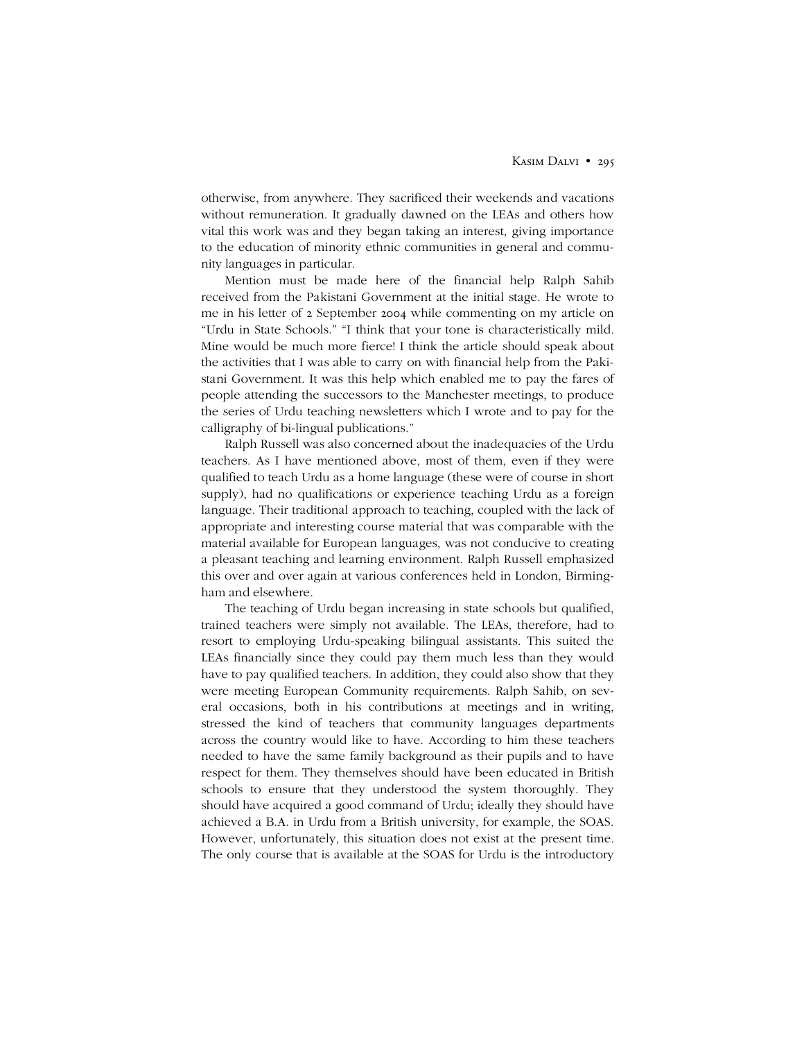otherwise, from anywhere. They sacrificed their weekends and vacations without remuneration. It gradually dawned on the LEAs and others how vital this work was and they began taking an interest, giving importance to the education of minority ethnic communities in general and community languages in particular.

Mention must be made here of the financial help Ralph Sahib received from the Pakistani Government at the initial stage. He wrote to me in his letter of 2 September 2004 while commenting on my article on "Urdu in State Schools." "I think that your tone is characteristically mild. Mine would be much more fierce! I think the article should speak about the activities that I was able to carry on with financial help from the Pakistani Government. It was this help which enabled me to pay the fares of people attending the successors to the Manchester meetings, to produce the series of Urdu teaching newsletters which I wrote and to pay for the calligraphy of bi-lingual publications."

Ralph Russell was also concerned about the inadequacies of the Urdu teachers. As I have mentioned above, most of them, even if they were qualified to teach Urdu as a home language (these were of course in short supply), had no qualifications or experience teaching Urdu as a foreign language. Their traditional approach to teaching, coupled with the lack of appropriate and interesting course material that was comparable with the material available for European languages, was not conducive to creating a pleasant teaching and learning environment. Ralph Russell emphasized this over and over again at various conferences held in London, Birmingham and elsewhere.

The teaching of Urdu began increasing in state schools but qualified, trained teachers were simply not available. The LEAs, therefore, had to resort to employing Urdu-speaking bilingual assistants. This suited the LEAs financially since they could pay them much less than they would have to pay qualified teachers. In addition, they could also show that they were meeting European Community requirements. Ralph Sahib, on several occasions, both in his contributions at meetings and in writing, stressed the kind of teachers that community languages departments across the country would like to have. According to him these teachers needed to have the same family background as their pupils and to have respect for them. They themselves should have been educated in British schools to ensure that they understood the system thoroughly. They should have acquired a good command of Urdu; ideally they should have achieved a B.A. in Urdu from a British university, for example, the SOAS. However, unfortunately, this situation does not exist at the present time. The only course that is available at the SOAS for Urdu is the introductory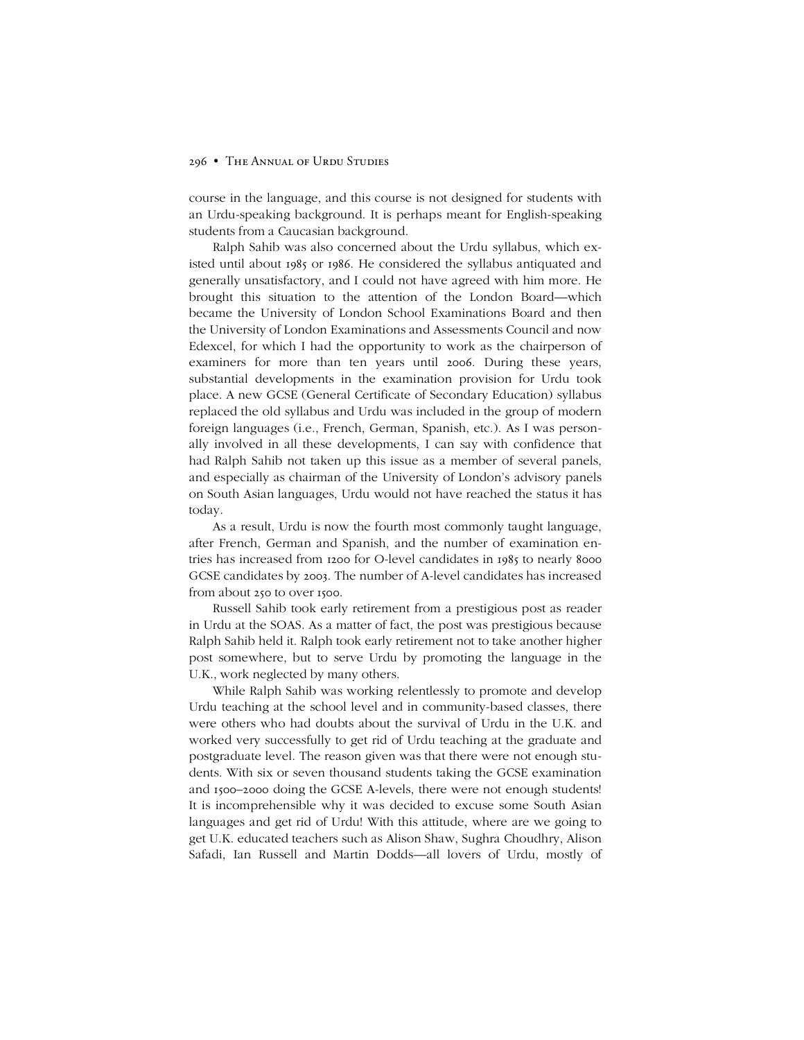### 296 • The Annual of Urdu Studies

course in the language, and this course is not designed for students with an Urdu-speaking background. It is perhaps meant for English-speaking students from a Caucasian background.

Ralph Sahib was also concerned about the Urdu syllabus, which existed until about 1985 or 1986. He considered the syllabus antiquated and generally unsatisfactory, and I could not have agreed with him more. He brought this situation to the attention of the London Board—which became the University of London School Examinations Board and then the University of London Examinations and Assessments Council and now Edexcel, for which I had the opportunity to work as the chairperson of examiners for more than ten years until 2006. During these years, substantial developments in the examination provision for Urdu took place. A new GCSE (General Certificate of Secondary Education) syllabus replaced the old syllabus and Urdu was included in the group of modern foreign languages (i.e., French, German, Spanish, etc.). As I was personally involved in all these developments, I can say with confidence that had Ralph Sahib not taken up this issue as a member of several panels, and especially as chairman of the University of London's advisory panels on South Asian languages, Urdu would not have reached the status it has today.

As a result, Urdu is now the fourth most commonly taught language, after French, German and Spanish, and the number of examination entries has increased from 1200 for O-level candidates in 1985 to nearly 8000 GCSE candidates by 2003. The number of A-level candidates has increased from about 250 to over 1500.

Russell Sahib took early retirement from a prestigious post as reader in Urdu at the SOAS. As a matter of fact, the post was prestigious because Ralph Sahib held it. Ralph took early retirement not to take another higher post somewhere, but to serve Urdu by promoting the language in the U.K., work neglected by many others.

While Ralph Sahib was working relentlessly to promote and develop Urdu teaching at the school level and in community-based classes, there were others who had doubts about the survival of Urdu in the U.K. and worked very successfully to get rid of Urdu teaching at the graduate and postgraduate level. The reason given was that there were not enough students. With six or seven thousand students taking the GCSE examination and 1500–2000 doing the GCSE A-levels, there were not enough students! It is incomprehensible why it was decided to excuse some South Asian languages and get rid of Urdu! With this attitude, where are we going to get U.K. educated teachers such as Alison Shaw, Sughra Choudhry, Alison Safadi, Ian Russell and Martin Dodds-all lovers of Urdu, mostly of